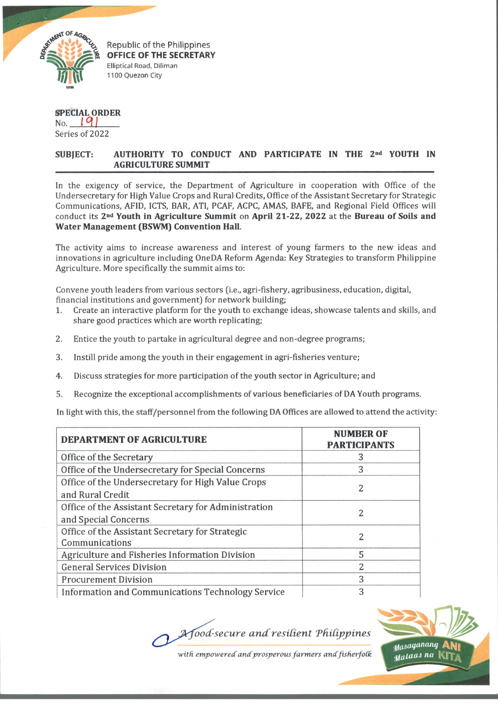

I

*fd iiij\* .* Republic of the Philippines **OFFICE OF THE SECRETARY** Elliptical Road, Diliman 1100 Quezon City

## **SPECIAL ORDER**

No. *I °l I* Series of 2022

## **SUBJECT: AUTHORITY TO CONDUCT AND PARTICIPATE IN THE 2nd YOUTH IN AGRICULTURE SUMMIT**

In the exigency of service, the Department of Agriculture in cooperation with Office of the Undersecretary for High Value Crops and Rural Credits, Office of the Assistant Secretary for Strategic Communications, AFID, ICTS, BAR, ATI, PCAF, ACPC, AMAS, BAFE, and Regional Field Offices will conduct its **2nd Youth in Agriculture Summit** on **April 21-22, 2022** at the **Bureau of Soils and Water Management (BSWM) Convention Hall.**

The activity aims to increase awareness and interest of young farmers to the new ideas and innovations in agriculture including OneDA Reform Agenda: Key Strategies to transform Philippine Agriculture. More specifically the summit aims to:

Convene youth leaders from various sectors (i.e., agri-fishery, agribusiness, education, digital, financial institutions and government) for network building;

- 1. Create an interactive platform for the youth to exchange ideas, showcase talents and skills, and share good practices which are worth replicating;
- 2. Entice the youth to partake in agricultural degree and non-degree programs;
- 3. Instill pride among the youth in their engagement in agri-fisheries venture;
- 4. Discuss strategies for more participation of the youth sector in Agriculture; and
- 5. Recognize the exceptional accomplishments of various beneficiaries of DA Youth programs.

In light with this, the staff/personnel from the following DA Offices are allowed to attend the activity:

| <b>DEPARTMENT OF AGRICULTURE</b>                                             | <b>NUMBER OF</b><br><b>PARTICIPANTS</b> |
|------------------------------------------------------------------------------|-----------------------------------------|
| Office of the Secretary                                                      | 3                                       |
| Office of the Undersecretary for Special Concerns                            | 3                                       |
| Office of the Undersecretary for High Value Crops<br>and Rural Credit        | 2                                       |
| Office of the Assistant Secretary for Administration<br>and Special Concerns | 2                                       |
| Office of the Assistant Secretary for Strategic<br>Communications            | 2                                       |
| Agriculture and Fisheries Information Division                               | 5                                       |
| <b>General Services Division</b>                                             | 2                                       |
| <b>Procurement Division</b>                                                  | 3                                       |
| Information and Communications Technology Service                            | 3                                       |

*ood-secure a n d resident 'Philippines*

with empowered and prosperous farmers and fisherfolk